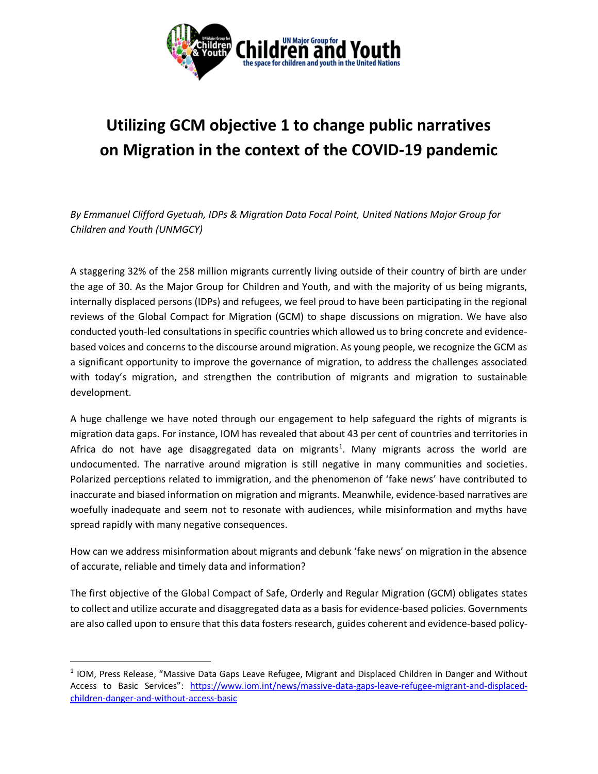

## **Utilizing GCM objective 1 to change public narratives on Migration in the context of the COVID-19 pandemic**

*By Emmanuel Clifford Gyetuah, IDPs & Migration Data Focal Point, United Nations Major Group for Children and Youth (UNMGCY)*

A staggering 32% of the 258 million migrants currently living outside of their country of birth are under the age of 30. As the Major Group for Children and Youth, and with the majority of us being migrants, internally displaced persons (IDPs) and refugees, we feel proud to have been participating in the regional reviews of the Global Compact for Migration (GCM) to shape discussions on migration. We have also conducted youth-led consultations in specific countries which allowed us to bring concrete and evidencebased voices and concerns to the discourse around migration. As young people, we recognize the GCM as a significant opportunity to improve the governance of migration, to address the challenges associated with today's migration, and strengthen the contribution of migrants and migration to sustainable development.

A huge challenge we have noted through our engagement to help safeguard the rights of migrants is migration data gaps. For instance, IOM has revealed that about 43 per cent of countries and territories in Africa do not have age disaggregated data on migrants<sup>1</sup>. Many migrants across the world are undocumented. The narrative around migration is still negative in many communities and societies. Polarized perceptions related to immigration, and the phenomenon of 'fake news' have contributed to inaccurate and biased information on migration and migrants. Meanwhile, evidence-based narratives are woefully inadequate and seem not to resonate with audiences, while misinformation and myths have spread rapidly with many negative consequences.

How can we address misinformation about migrants and debunk 'fake news' on migration in the absence of accurate, reliable and timely data and information?

The first objective of the Global Compact of Safe, Orderly and Regular Migration (GCM) obligates states to collect and utilize accurate and disaggregated data as a basis for evidence-based policies. Governments are also called upon to ensure that this data fosters research, guides coherent and evidence-based policy-

 $<sup>1</sup>$  IOM, Press Release, "Massive Data Gaps Leave Refugee, Migrant and Displaced Children in Danger and Without</sup> Access to Basic Services": [https://www.iom.int/news/massive-data-gaps-leave-refugee-migrant-and-displaced](https://www.iom.int/news/massive-data-gaps-leave-refugee-migrant-and-displaced-children-danger-and-without-access-basic)[children-danger-and-without-access-basic](https://www.iom.int/news/massive-data-gaps-leave-refugee-migrant-and-displaced-children-danger-and-without-access-basic)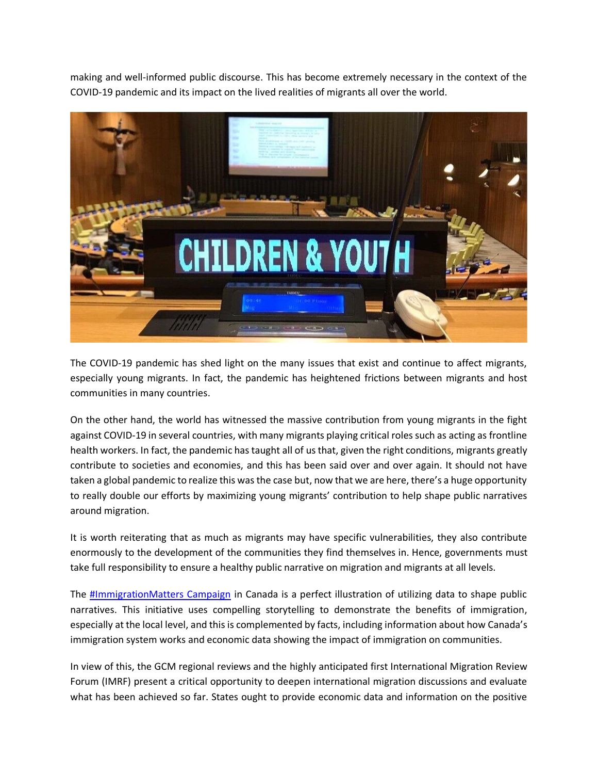making and [well-informed public discourse.](https://migrationdataportal.org/themes/public-opinion-migration) This has become extremely necessary in the context of the COVID-19 pandemic and its impact on the lived realities of migrants all over the world.



The COVID-19 pandemic has shed light on the many issues that exist and continue to affect migrants, especially young migrants. In fact, the pandemic has heightened frictions between migrants and host communities in many countries.

On the other hand, the world has witnessed the massive contribution from young migrants in the fight against COVID-19 in several countries, with many migrants playing critical roles such as acting as frontline health workers. In fact, the pandemic has taught all of us that, given the right conditions, migrants greatly contribute to societies and economies, and this has been said over and over again. It should not have taken a global pandemic to realize this was the case but, now that we are here, there's a huge opportunity to really double our efforts by maximizing young migrants' contribution to help shape public narratives around migration.

It is worth reiterating that as much as migrants may have specific vulnerabilities, they also contribute enormously to the development of the communities they find themselves in. Hence, governments must take full responsibility to ensure a healthy public narrative on migration and migrants at all levels.

The **#ImmigrationMatters Campaign** in Canada is a perfect illustration of utilizing data to shape public narratives. This initiative uses compelling storytelling to demonstrate the benefits of immigration, especially at the local level, and this is complemented by facts, including information about how Canada's immigration system works and economic data showing the impact of immigration on communities.

In view of this, the GCM regional reviews and the highly anticipated first International Migration Review Forum (IMRF) present a critical opportunity to deepen international migration discussions and evaluate what has been achieved so far. States ought to provide economic data and information on the positive